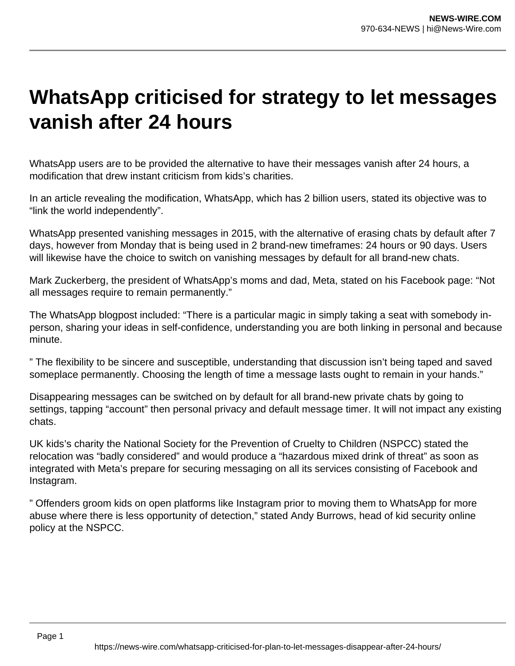## **WhatsApp criticised for strategy to let messages vanish after 24 hours**

WhatsApp users are to be provided the alternative to have their messages vanish after 24 hours, a modification that drew instant criticism from kids's charities.

In an article revealing the modification, WhatsApp, which has 2 billion users, stated its objective was to "link the world independently".

WhatsApp presented vanishing messages in 2015, with the alternative of erasing chats by default after 7 days, however from Monday that is being used in 2 brand-new timeframes: 24 hours or 90 days. Users will likewise have the choice to switch on vanishing messages by default for all brand-new chats.

Mark Zuckerberg, the president of WhatsApp's moms and dad, Meta, stated on his Facebook page: "Not all messages require to remain permanently."

The WhatsApp blogpost included: "There is a particular magic in simply taking a seat with somebody inperson, sharing your ideas in self-confidence, understanding you are both linking in personal and because minute.

" The flexibility to be sincere and susceptible, understanding that discussion isn't being taped and saved someplace permanently. Choosing the length of time a message lasts ought to remain in your hands."

Disappearing messages can be switched on by default for all brand-new private chats by going to settings, tapping "account" then personal privacy and default message timer. It will not impact any existing chats.

UK kids's charity the National Society for the Prevention of Cruelty to Children (NSPCC) stated the relocation was "badly considered" and would produce a "hazardous mixed drink of threat" as soon as integrated with Meta's prepare for securing messaging on all its services consisting of Facebook and Instagram.

" Offenders groom kids on open platforms like Instagram prior to moving them to WhatsApp for more abuse where there is less opportunity of detection," stated Andy Burrows, head of kid security online policy at the NSPCC.